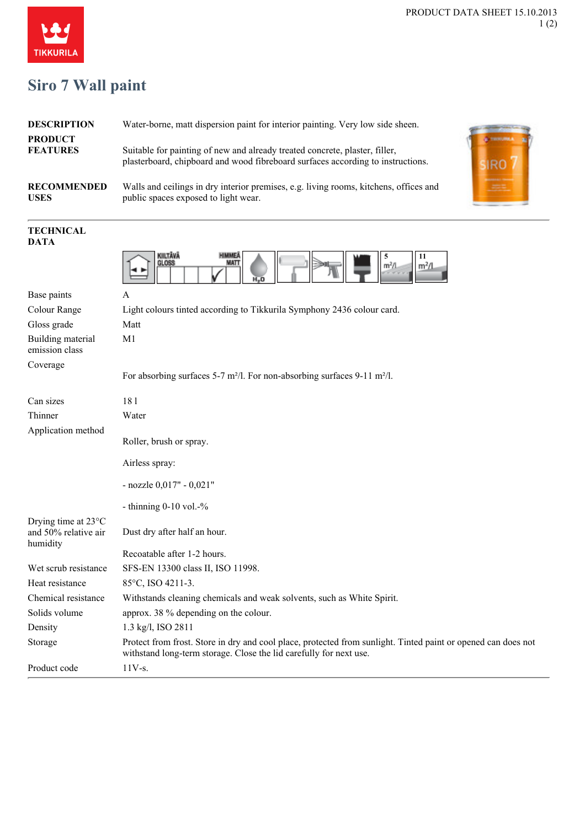

## **Siro 7 Wall paint**

| <b>DESCRIPTION</b>                | Water-borne, matt dispersion paint for interior painting. Very low side sheen.                                                                                 |  |
|-----------------------------------|----------------------------------------------------------------------------------------------------------------------------------------------------------------|--|
| <b>PRODUCT</b><br><b>FEATURES</b> | Suitable for painting of new and already treated concrete, plaster, filler,<br>plasterboard, chipboard and wood fibreboard surfaces according to instructions. |  |
| <b>RECOMMENDED</b><br><b>USES</b> | Walls and ceilings in dry interior premises, e.g. living rooms, kitchens, offices and<br>public spaces exposed to light wear.                                  |  |



## **TECHNICAL DATA**

|                                                         | KIILTÄVÄ<br><b>HIMMEA</b><br>5<br>11<br>MATT<br>GLOSS<br>m <sup>2</sup> /l<br>m <sup>2</sup> /l                                                                                     |
|---------------------------------------------------------|-------------------------------------------------------------------------------------------------------------------------------------------------------------------------------------|
| Base paints                                             | A                                                                                                                                                                                   |
| Colour Range                                            | Light colours tinted according to Tikkurila Symphony 2436 colour card.                                                                                                              |
| Gloss grade                                             | Matt                                                                                                                                                                                |
| Building material<br>emission class                     | M1                                                                                                                                                                                  |
| Coverage                                                | For absorbing surfaces 5-7 m <sup>2</sup> /l. For non-absorbing surfaces 9-11 m <sup>2</sup> /l.                                                                                    |
| Can sizes                                               | 181                                                                                                                                                                                 |
| Thinner                                                 | Water                                                                                                                                                                               |
| Application method                                      | Roller, brush or spray.                                                                                                                                                             |
|                                                         | Airless spray:                                                                                                                                                                      |
|                                                         | - nozzle 0,017" - 0,021"                                                                                                                                                            |
|                                                         | - thinning $0-10$ vol. $-$ %                                                                                                                                                        |
| Drying time at 23°C<br>and 50% relative air<br>humidity | Dust dry after half an hour.                                                                                                                                                        |
|                                                         | Recoatable after 1-2 hours.                                                                                                                                                         |
| Wet scrub resistance                                    | SFS-EN 13300 class II, ISO 11998.                                                                                                                                                   |
| Heat resistance                                         | 85°C, ISO 4211-3.                                                                                                                                                                   |
| Chemical resistance                                     | Withstands cleaning chemicals and weak solvents, such as White Spirit.                                                                                                              |
| Solids volume                                           | approx. 38 % depending on the colour.                                                                                                                                               |
| Density                                                 | 1.3 kg/l, ISO 2811                                                                                                                                                                  |
| Storage                                                 | Protect from frost. Store in dry and cool place, protected from sunlight. Tinted paint or opened can does not<br>withstand long-term storage. Close the lid carefully for next use. |
| Product code                                            | $11V-s.$                                                                                                                                                                            |